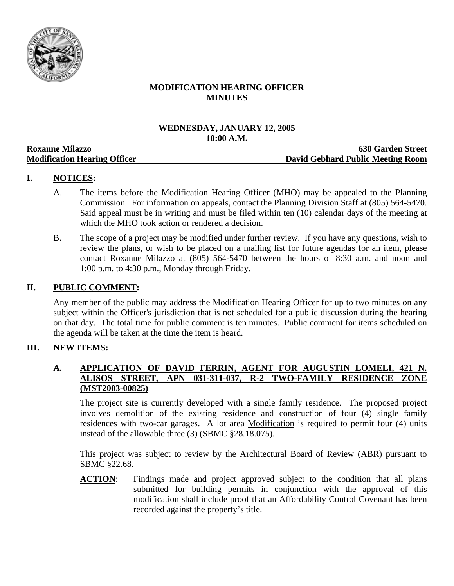

# **MODIFICATION HEARING OFFICER MINUTES**

### **WEDNESDAY, JANUARY 12, 2005 10:00 A.M.**

| <b>Roxanne Milazzo</b>              | <b>630 Garden Street</b>                 |
|-------------------------------------|------------------------------------------|
| <b>Modification Hearing Officer</b> | <b>David Gebhard Public Meeting Room</b> |

# **I. NOTICES:**

- A. The items before the Modification Hearing Officer (MHO) may be appealed to the Planning Commission. For information on appeals, contact the Planning Division Staff at (805) 564-5470. Said appeal must be in writing and must be filed within ten (10) calendar days of the meeting at which the MHO took action or rendered a decision.
- B. The scope of a project may be modified under further review. If you have any questions, wish to review the plans, or wish to be placed on a mailing list for future agendas for an item, please contact Roxanne Milazzo at (805) 564-5470 between the hours of 8:30 a.m. and noon and 1:00 p.m. to 4:30 p.m., Monday through Friday.

# **II. PUBLIC COMMENT:**

Any member of the public may address the Modification Hearing Officer for up to two minutes on any subject within the Officer's jurisdiction that is not scheduled for a public discussion during the hearing on that day. The total time for public comment is ten minutes. Public comment for items scheduled on the agenda will be taken at the time the item is heard.

### **III. NEW ITEMS:**

### **A. APPLICATION OF DAVID FERRIN, AGENT FOR AUGUSTIN LOMELI, 421 N. ALISOS STREET, APN 031-311-037, R-2 TWO-FAMILY RESIDENCE ZONE (MST2003-00825)**

The project site is currently developed with a single family residence. The proposed project involves demolition of the existing residence and construction of four (4) single family residences with two-car garages. A lot area Modification is required to permit four (4) units instead of the allowable three (3) (SBMC §28.18.075).

This project was subject to review by the Architectural Board of Review (ABR) pursuant to SBMC §22.68.

**ACTION**: Findings made and project approved subject to the condition that all plans submitted for building permits in conjunction with the approval of this modification shall include proof that an Affordability Control Covenant has been recorded against the property's title.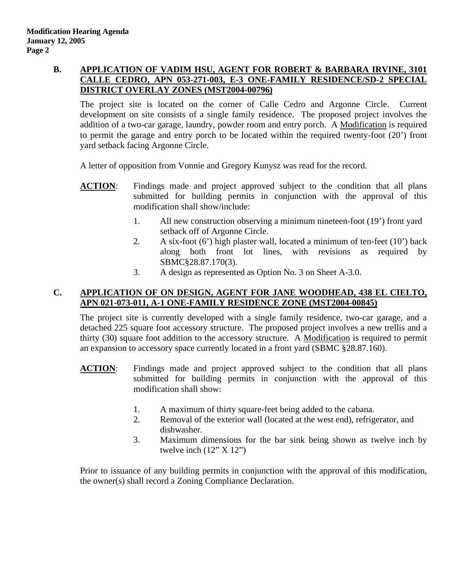# **B. APPLICATION OF VADIM HSU, AGENT FOR ROBERT & BARBARA IRVINE, 3101 CALLE CEDRO, APN 053-271-003, E-3 ONE-FAMILY RESIDENCE/SD-2 SPECIAL DISTRICT OVERLAY ZONES (MST2004-00796)**

The project site is located on the corner of Calle Cedro and Argonne Circle. Current development on site consists of a single family residence. The proposed project involves the addition of a two-car garage, laundry, powder room and entry porch. A Modification is required to permit the garage and entry porch to be located within the required twenty-foot (20') front yard setback facing Argonne Circle.

A letter of opposition from Vonnie and Gregory Kunysz was read for the record.

- **ACTION:** Findings made and project approved subject to the condition that all plans submitted for building permits in conjunction with the approval of this modification shall show/include:
	- 1. All new construction observing a minimum nineteen-foot (19') front yard setback off of Argonne Circle.
	- 2. A six-foot (6') high plaster wall, located a minimum of ten-feet (10') back along both front lot lines, with revisions as required by SBMC§28.87.170(3).
	- 3. A design as represented as Option No. 3 on Sheet A-3.0.

# **C. APPLICATION OF ON DESIGN, AGENT FOR JANE WOODHEAD, 438 EL CIELTO, APN 021-073-011, A-1 ONE-FAMILY RESIDENCE ZONE (MST2004-00845)**

The project site is currently developed with a single family residence, two-car garage, and a detached 225 square foot accessory structure. The proposed project involves a new trellis and a thirty (30) square foot addition to the accessory structure. A Modification is required to permit an expansion to accessory space currently located in a front yard (SBMC §28.87.160).

- **ACTION**: Findings made and project approved subject to the condition that all plans submitted for building permits in conjunction with the approval of this modification shall show:
	- 1. A maximum of thirty square-feet being added to the cabana.
	- 2. Removal of the exterior wall (located at the west end), refrigerator, and dishwasher.
	- 3. Maximum dimensions for the bar sink being shown as twelve inch by twelve inch  $(12" X 12")$

Prior to issuance of any building permits in conjunction with the approval of this modification, the owner(s) shall record a Zoning Compliance Declaration.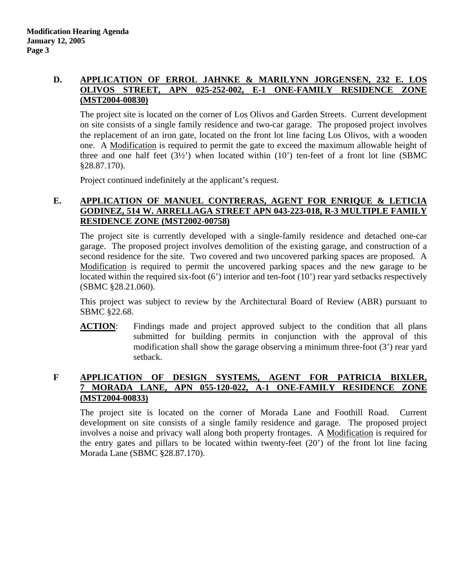### **D. APPLICATION OF ERROL JAHNKE & MARILYNN JORGENSEN, 232 E. LOS OLIVOS STREET, APN 025-252-002, E-1 ONE-FAMILY RESIDENCE ZONE (MST2004-00830)**

The project site is located on the corner of Los Olivos and Garden Streets. Current development on site consists of a single family residence and two-car garage. The proposed project involves the replacement of an iron gate, located on the front lot line facing Los Olivos, with a wooden one. A Modification is required to permit the gate to exceed the maximum allowable height of three and one half feet  $(3\frac{1}{2})$  when located within  $(10)$  ten-feet of a front lot line (SBMC §28.87.170).

Project continued indefinitely at the applicant's request.

# **E. APPLICATION OF MANUEL CONTRERAS, AGENT FOR ENRIQUE & LETICIA GODINEZ, 514 W. ARRELLAGA STREET APN 043-223-018, R-3 MULTIPLE FAMILY RESIDENCE ZONE (MST2002-00758)**

The project site is currently developed with a single-family residence and detached one-car garage. The proposed project involves demolition of the existing garage, and construction of a second residence for the site. Two covered and two uncovered parking spaces are proposed. A Modification is required to permit the uncovered parking spaces and the new garage to be located within the required six-foot (6') interior and ten-foot (10') rear yard setbacks respectively (SBMC §28.21.060).

This project was subject to review by the Architectural Board of Review (ABR) pursuant to SBMC §22.68.

**ACTION**: Findings made and project approved subject to the condition that all plans submitted for building permits in conjunction with the approval of this modification shall show the garage observing a minimum three-foot (3') rear yard setback.

### **F APPLICATION OF DESIGN SYSTEMS, AGENT FOR PATRICIA BIXLER, 7 MORADA LANE, APN 055-120-022, A-1 ONE-FAMILY RESIDENCE ZONE (MST2004-00833)**

The project site is located on the corner of Morada Lane and Foothill Road. Current development on site consists of a single family residence and garage. The proposed project involves a noise and privacy wall along both property frontages. A Modification is required for the entry gates and pillars to be located within twenty-feet (20') of the front lot line facing Morada Lane (SBMC §28.87.170).